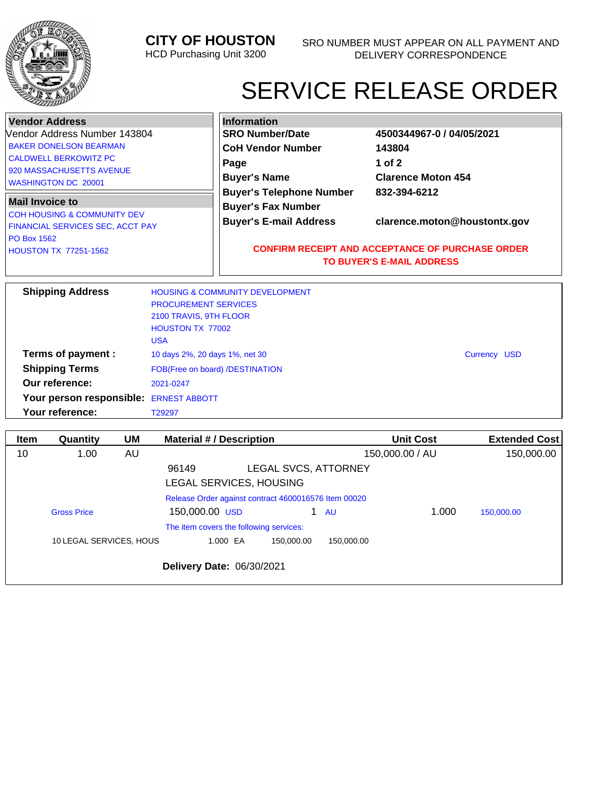

**Your reference:** T29297

## **CITY OF HOUSTON**

HCD Purchasing Unit 3200

## SERVICE RELEASE ORDER

| <b>Vendor Address</b>                                                                                                                                   |                                                                                                                                              | <b>Information</b>                                                                            |                                                                                                                                             |  |  |  |  |
|---------------------------------------------------------------------------------------------------------------------------------------------------------|----------------------------------------------------------------------------------------------------------------------------------------------|-----------------------------------------------------------------------------------------------|---------------------------------------------------------------------------------------------------------------------------------------------|--|--|--|--|
| Vendor Address Number 143804<br><b>BAKER DONELSON BEARMAN</b><br><b>CALDWELL BERKOWITZ PC</b><br>920 MASSACHUSETTS AVENUE<br><b>WASHINGTON DC 20001</b> |                                                                                                                                              | <b>SRO Number/Date</b><br><b>CoH Vendor Number</b><br>Page<br><b>Buyer's Name</b>             | 4500344967-0 / 04/05/2021<br>143804<br>1 of $2$<br><b>Clarence Moton 454</b>                                                                |  |  |  |  |
| <b>Mail Invoice to</b><br><b>COH HOUSING &amp; COMMUNITY DEV</b><br>FINANCIAL SERVICES SEC, ACCT PAY<br><b>PO Box 1562</b><br>HOUSTON TX 77251-1562     |                                                                                                                                              | <b>Buyer's Telephone Number</b><br><b>Buyer's Fax Number</b><br><b>Buyer's E-mail Address</b> | 832-394-6212<br>clarence.moton@houstontx.gov<br><b>CONFIRM RECEIPT AND ACCEPTANCE OF PURCHASE ORDER</b><br><b>TO BUYER'S E-MAIL ADDRESS</b> |  |  |  |  |
| <b>Shipping Address</b>                                                                                                                                 | <b>HOUSING &amp; COMMUNITY DEVELOPMENT</b><br><b>PROCUREMENT SERVICES</b><br>2100 TRAVIS, 9TH FLOOR<br><b>HOUSTON TX 77002</b><br><b>USA</b> |                                                                                               |                                                                                                                                             |  |  |  |  |
| Terms of payment :<br><b>Shipping Terms</b>                                                                                                             | 10 days 2%, 20 days 1%, net 30<br>Currency USD<br>FOB(Free on board) /DESTINATION                                                            |                                                                                               |                                                                                                                                             |  |  |  |  |
| Our reference:<br>Your person responsible: ERNEST ABBOTT                                                                                                | 2021-0247                                                                                                                                    |                                                                                               |                                                                                                                                             |  |  |  |  |

| <b>Item</b> | Quantity                | <b>UM</b> | <b>Material #/ Description</b>                       |                      |            | <b>Unit Cost</b> | <b>Extended Cost</b> |
|-------------|-------------------------|-----------|------------------------------------------------------|----------------------|------------|------------------|----------------------|
| 10          | 1.00                    | AU        |                                                      |                      |            | 150,000.00 / AU  | 150,000.00           |
|             |                         |           | 96149                                                | LEGAL SVCS, ATTORNEY |            |                  |                      |
|             |                         |           | LEGAL SERVICES, HOUSING                              |                      |            |                  |                      |
|             |                         |           | Release Order against contract 4600016576 Item 00020 |                      |            |                  |                      |
|             | <b>Gross Price</b>      |           | 150,000.00 USD                                       | 1.                   | <b>AU</b>  | 1.000            | 150,000.00           |
|             |                         |           | The item covers the following services:              |                      |            |                  |                      |
|             | 10 LEGAL SERVICES, HOUS |           | 1.000 EA                                             | 150.000.00           | 150.000.00 |                  |                      |
|             |                         |           | Delivery Date: 06/30/2021                            |                      |            |                  |                      |